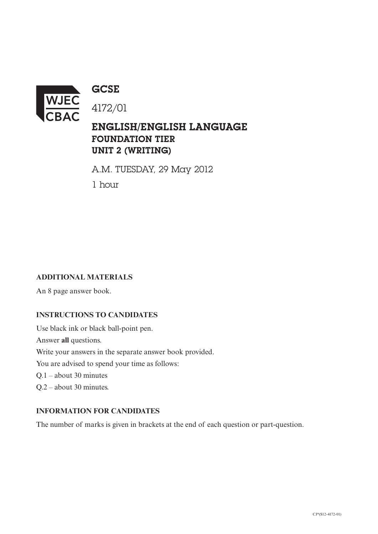

**GCSE** 

ENGLISH/ENGLISH LANGUAGE FOUNDATION TIER

UNIT 2 (WRITING)

A.M. TUESDAY, 29 May 2012

1 hour

## **ADDITIONAL MATERIALS**

An 8 page answer book.

## **INSTRUCTIONS TO CANDIDATES**

Use black ink or black ball-point pen. Answer **all** questions. Write your answers in the separate answer book provided. You are advised to spend your time as follows: Q.1 – about 30 minutes Q.2 – about 30 minutes.

## **INFORMATION FOR CANDIDATES**

The number of marks is given in brackets at the end of each question or part-question.